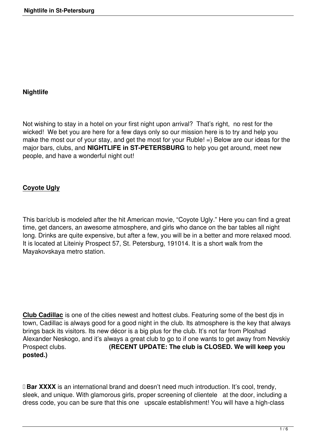## **Nightlife**

Not wishing to stay in a hotel on your first night upon arrival? That's right, no rest for the wicked! We bet you are here for a few days only so our mission here is to try and help you make the most our of your stay, and get the most for your Ruble! =) Below are our ideas for the major bars, clubs, and **NIGHTLIFE in ST-PETERSBURG** to help you get around, meet new people, and have a wonderful night out!

# **Coyote Ugly**

This bar/club is modeled after the hit American movie, "Coyote Ugly." Here you can find a great time, get dancers, an awesome atmosphere, and girls who dance on the bar tables all night long. Drinks are quite expensive, but after a few, you will be in a better and more relaxed mood. It is located at Liteiniy Prospect 57, St. Petersburg, 191014. It is a short walk from the Mayakovskaya metro station.

**Club Cadillac** is one of the cities newest and hottest clubs. Featuring some of the best djs in town, Cadillac is always good for a good night in the club. Its atmosphere is the key that always brings back its visitors. Its new décor is a big plus for the club. It's not far from Ploshad Alexander Neskogo, and it's always a great club to go to if one wants to get away from Nevskiy Prospect clubs. **(RECENT UPDATE: The club is CLOSED. We will keep you posted.)**

**Bar XXXX** is an international brand and doesn't need much introduction. It's cool, trendy, sleek, and unique. With glamorous girls, proper screening of clientele at the door, including a dress code, you can be sure that this one upscale establishment! You will have a high-class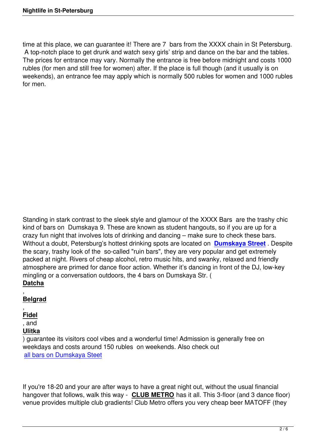time at this place, we can quarantee it! There are 7 bars from the XXXX chain in St Petersburg. A top-notch place to get drunk and watch sexy girls' strip and dance on the bar and the tables. The prices for entrance may vary. Normally the entrance is free before midnight and costs 1000 rubles (for men and still free for women) after. If the place is full though (and it usually is on weekends), an entrance fee may apply which is normally 500 rubles for women and 1000 rubles for men.

Standing in stark contrast to the sleek style and glamour of the XXXX Bars are the trashy chic kind of bars on Dumskaya 9. These are known as student hangouts, so if you are up for a crazy fun night that involves lots of drinking and dancing – make sure to check these bars. Without a doubt, Petersburg's hottest drinking spots are located on **Dumskaya Street** . Despite the scary, trashy look of the so-called "ruin bars", they are very popular and get extremely packed at night. Rivers of cheap alcohol, retro music hits, and swanky, relaxed and friendly atmosphere are primed for dance floor action. Whether it's dancing [in front of the DJ, lo](news/russia-travel-tips/398-dumskaya.html)w-key mingling or a conversation outdoors, the 4 bars on Dumskaya Str. ( **Datcha**

, **Belgrad** ,

**Fidel** , and **Ulitka**

) guarantee its visitors cool vibes and a wonderful time! Admission is generally free on weekdays and costs around 150 rubles on weekends. Also check out all bars on Dumskaya Steet

[If you're 18-20 and your are](news/russia-travel-tips/613-bars-on-dumskaya.html) after ways to have a great night out, without the usual financial hangover that follows, walk this way - **CLUB METRO** has it all. This 3-floor (and 3 dance floor) venue provides multiple club gradients! Club Metro offers you very cheap beer MATOFF (they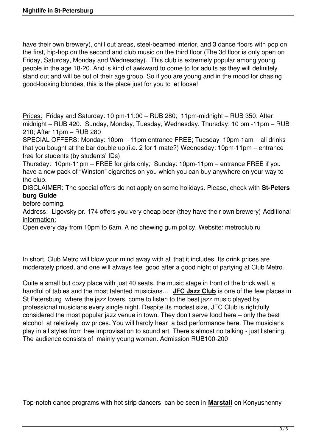have their own brewery), chill out areas, steel-beamed interior, and 3 dance floors with pop on the first, hip-hop on the second and club music on the third floor (The 3d floor is only open on Friday, Saturday, Monday and Wednesday). This club is extremely popular among young people in the age 18-20. And is kind of awkward to come to for adults as they will definitely stand out and will be out of their age group. So if you are young and in the mood for chasing good-looking blondes, this is the place just for you to let loose!

Prices: Friday and Saturday: 10 pm-11:00 – RUB 280; 11pm-midnight – RUB 350; After midnight – RUB 420. Sunday, Monday, Tuesday, Wednesday, Thursday: 10 pm -11pm – RUB 210; After 11pm – RUB 280

SPECIAL OFFERS: Monday: 10pm – 11pm entrance FREE; Tuesday 10pm-1am – all drinks that you bought at the bar double up;(i.e. 2 for 1 mate?) Wednesday: 10pm-11pm – entrance free for students (by students' IDs)

Thursday: 10pm-11pm – FREE for girls only; Sunday: 10pm-11pm – entrance FREE if you have a new pack of "Winston" cigarettes on you which you can buy anywhere on your way to the club.

DISCLAIMER: The special offers do not apply on some holidays. Please, check with **St-Peters burg Guide**

## before coming.

Address: Ligovsky pr. 174 offers you very cheap beer (they have their own brewery) Additional information:

Open every day from 10pm to 6am. A no chewing gum policy. Website: metroclub.ru

In short, Club Metro will blow your mind away with all that it includes. Its drink prices are moderately priced, and one will always feel good after a good night of partying at Club Metro.

Quite a small but cozy place with just 40 seats, the music stage in front of the brick wall, a handful of tables and the most talented musicians… **JFC Jazz Club** is one of the few places in St Petersburg where the jazz lovers come to listen to the best jazz music played by professional musicians every single night. Despite its modest size, JFC Club is rightfully considered the most popular jazz venue in town. They don't serve food here – only the best alcohol at relatively low prices. You will hardly hear a bad performance here. The musicians play in all styles from free improvisation to sound art. There's almost no talking - just listening. The audience consists of mainly young women. Admission RUB100-200

Top-notch dance programs with hot strip dancers can be seen in **Marstall** on Konyushenny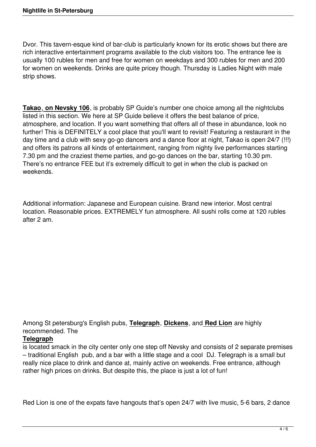Dvor. This tavern-esque kind of bar-club is particularly known for its erotic shows but there are rich interactive entertainment programs available to the club visitors too. The entrance fee is usually 100 rubles for men and free for women on weekdays and 300 rubles for men and 200 for women on weekends. Drinks are quite pricey though. Thursday is Ladies Night with male strip shows.

**Takao**, **on Nevsky 106**, is probably SP Guide's number one choice among all the nightclubs listed in this section. We here at SP Guide believe it offers the best balance of price, atmosphere, and location. If you want something that offers all of these in abundance, look no further! This is DEFINITELY a cool place that you'll want to revisit! Featuring a restaurant in the day time and a club with sexy go-go dancers and a dance floor at night, Takao is open 24/7 (!!!) and offers its patrons all kinds of entertainment, ranging from nighty live performances starting 7.30 pm and the craziest theme parties, and go-go dances on the bar, starting 10.30 pm. There's no entrance FEE but it's extremely difficult to get in when the club is packed on weekends.

Additional information: Japanese and European cuisine. Brand new interior. Most central location. Reasonable prices. EXTREMELY fun atmosphere. All sushi rolls come at 120 rubles after 2 am.

Among St petersburg's English pubs, **Telegraph**, **Dickens**, and **Red Lion** are highly recommended. The

## **Telegraph**

is located smack in the city center only one step off Nevsky and consists of 2 separate premises – traditional English pub, and a bar with a little stage and a cool DJ. Telegraph is a small but really nice place to drink and dance at, mainly active on weekends. Free entrance, although rather high prices on drinks. But despite this, the place is just a lot of fun!

Red Lion is one of the expats fave hangouts that's open 24/7 with live music, 5-6 bars, 2 dance